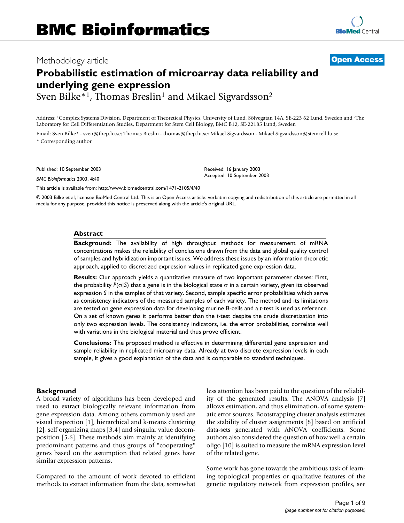## Methodology article **[Open Access](http://www.biomedcentral.com/info/about/charter/)**

# **Probabilistic estimation of microarray data reliability and underlying gene expression** Sven Bilke<sup>\*1</sup>, Thomas Breslin<sup>1</sup> and Mikael Sigvardsson<sup>2</sup>

Address: 1Complex Systems Division, Department of Theoretical Physics, University of Lund, Sölvegatan 14A, SE-223 62 Lund, Sweden and 2The Laboratory for Cell Differentiation Studies, Department for Stem Cell Biology, BMC B12, SE-22185 Lund, Sweden

Email: Sven Bilke\* - sven@thep.lu.se; Thomas Breslin - thomas@thep.lu.se; Mikael Sigvardsson - Mikael.Sigvardsson@stemcell.lu.se \* Corresponding author

Published: 10 September 2003

*BMC Bioinformatics* 2003, **4**:40

Received: 16 January 2003 Accepted: 10 September 2003

[This article is available from: http://www.biomedcentral.com/1471-2105/4/40](http://www.biomedcentral.com/1471-2105/4/40)

© 2003 Bilke et al; licensee BioMed Central Ltd. This is an Open Access article: verbatim copying and redistribution of this article are permitted in all media for any purpose, provided this notice is preserved along with the article's original URL.

#### **Abstract**

**Background:** The availability of high throughput methods for measurement of mRNA concentrations makes the reliability of conclusions drawn from the data and global quality control of samples and hybridization important issues. We address these issues by an information theoretic approach, applied to discretized expression values in replicated gene expression data.

**Results:** Our approach yields a quantitative measure of two important parameter classes: First, the probability *P*(σ|*S*) that a gene is in the biological state σ in a certain variety, given its observed expression *S* in the samples of that variety. Second, sample specific error probabilities which serve as consistency indicators of the measured samples of each variety. The method and its limitations are tested on gene expression data for developing murine B-cells and a *t*-test is used as reference. On a set of known genes it performs better than the *t*-test despite the crude discretization into only two expression levels. The consistency indicators, i.e. the error probabilities, correlate well with variations in the biological material and thus prove efficient.

**Conclusions:** The proposed method is effective in determining differential gene expression and sample reliability in replicated microarray data. Already at two discrete expression levels in each sample, it gives a good explanation of the data and is comparable to standard techniques.

#### **Background**

A broad variety of algorithms has been developed and used to extract biologically relevant information from gene expression data. Among others commonly used are visual inspection [1], hierarchical and k-means clustering [2], self organizing maps [3,4] and singular value decomposition [5,6]. These methods aim mainly at identifying predominant patterns and thus groups of "cooperating" genes based on the assumption that related genes have similar expression patterns.

Compared to the amount of work devoted to efficient methods to extract information from the data, somewhat less attention has been paid to the question of the reliability of the generated results. The ANOVA analysis [7] allows estimation, and thus elimination, of some systematic error sources. Bootstrapping cluster analysis estimates the stability of cluster assignments [8] based on artificial data-sets generated with ANOVA coefficients. Some authors also considered the question of how well a certain oligo [10] is suited to measure the mRNA expression level of the related gene.

Some work has gone towards the ambitious task of learning topological properties or qualitative features of the genetic regulatory network from expression profiles, see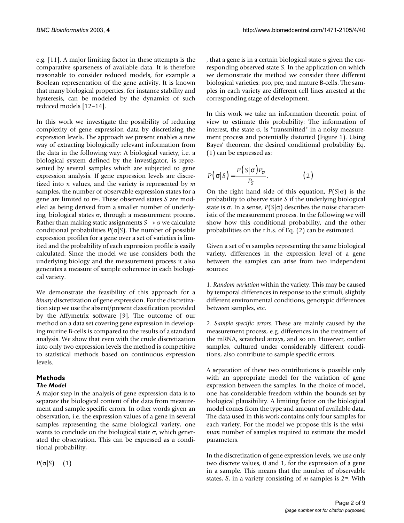e.g. [11]. A major limiting factor in these attempts is the comparative sparseness of available data. It is therefore reasonable to consider reduced models, for example a Boolean representation of the gene activity. It is known that many biological properties, for instance stability and hysteresis, can be modeled by the dynamics of such reduced models [12–14].

In this work we investigate the possibility of reducing complexity of gene expression data by discretizing the expression levels. The approach we present enables a new way of extracting biologically relevant information from the data in the following way: A biological variety, i.e. a biological system defined by the investigator, is represented by several samples which are subjected to gene expression analysis. If gene expression levels are discretized into *n* values, and the variety is represented by *m* samples, the number of observable expression states for a gene are limited to *nm*. These observed states *S* are modeled as being derived from a smaller number of underlying, biological states σ, through a measurement process. Rather than making static assignments  $S \rightarrow \sigma$  we calculate conditional probabilities  $P(\sigma|S)$ . The number of possible expression profiles for a gene over a set of varieties is limited and the probability of each expression profile is easily calculated. Since the model we use considers both the underlying biology and the measurement process it also generates a measure of sample coherence in each biological variety.

We demonstrate the feasibility of this approach for a *binary* discretization of gene expression. For the discretization step we use the absent/present classification provided by the Affymetrix software [9]. The outcome of our method on a data set covering gene expression in developing murine B-cells is compared to the results of a standard analysis. We show that even with the crude discretization into only two expression levels the method is competitive to statistical methods based on continuous expression levels.

#### **Methods** *The Model*

A major step in the analysis of gene expression data is to separate the biological content of the data from measurement and sample specific errors. In other words given an observation, i.e. the expression values of a gene in several samples representing the same biological variety, one wants to conclude on the biological state  $\sigma$ , which generated the observation. This can be expressed as a conditional probability,

, that a gene is in a certain biological state  $\sigma$  given the corresponding observed state *S*. In the application on which we demonstrate the method we consider three different biological varieties: pro, pre, and mature B-cells. The samples in each variety are different cell lines arrested at the corresponding stage of development.

In this work we take an information theoretic point of view to estimate this probability: The information of interest, the state  $\sigma$ , is "transmitted" in a noisy measurement process and potentially distorted (Figure [1\)](#page-2-0). Using Bayes' theorem, the desired conditional probability Eq. (1) can be expressed as:

$$
P(\sigma|S) = \frac{P(S|\sigma)P_{\sigma}}{P_S}.
$$
 (2)

On the right hand side of this equation, *P*(*S*|σ) is the probability to observe state *S* if the underlying biological state is σ. In a sense, *P*(*S*|σ) describes the noise characteristic of the measurement process. In the following we will show how this conditional probability, and the other probabilities on the r.h.s. of Eq. (2) can be estimated.

Given a set of *m* samples representing the same biological variety, differences in the expression level of a gene between the samples can arise from two independent sources:

1. *Random variation* within the variety. This may be caused by temporal differences in response to the stimuli, slightly different environmental conditions, genotypic differences between samples, etc.

2. *Sample specific errors*. These are mainly caused by the measurement process, e.g. differences in the treatment of the mRNA, scratched arrays, and so on. However, outlier samples, cultured under considerably different conditions, also contribute to sample specific errors.

A separation of these two contributions is possible only with an appropriate model for the variation of gene expression between the samples. In the choice of model, one has considerable freedom within the bounds set by biological plausibility. A limiting factor on the biological model comes from the type and amount of available data. The data used in this work contains only four samples for each variety. For the model we propose this is the *minimum* number of samples required to estimate the model parameters.

In the discretization of gene expression levels, we use only two discrete values, 0 and 1, for the expression of a gene in a sample. This means that the number of observable states, *S*, in a variety consisting of *m* samples is 2*<sup>m</sup>*. With

 $P(\sigma|S)$  (1)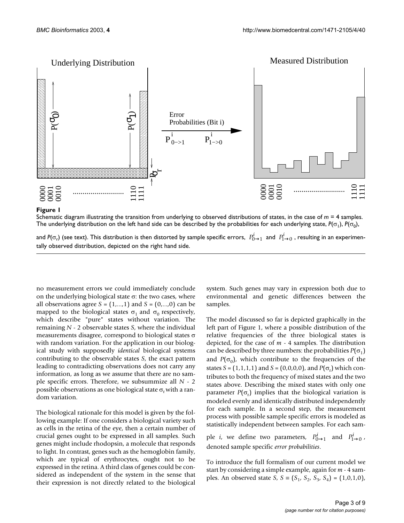<span id="page-2-0"></span>

### **Figure 1** Schematic diagram illustrating the transition from underlying to observed distributions of states, in the case of *m* = 4 samples

Schematic diagram illustrating the transition from underlying to observed distributions of states, in the case of *m* = 4 samples. The underlying distribution on the left hand side can be described by the probabilities for each underlying state,  $P(\sigma_1)$ ,  $P(\sigma_0)$ ,

and  $P(\sigma_r)$  (see text). This distribution is then distorted by sample specific errors,  $\ P^i_{0\to 1}$  and  $\ P^i_{1\to 0}$  , resulting in an experimentally observed distribution, depicted on the right hand side.

no measurement errors we could immediately conclude on the underlying biological state σ: the two cases, where all observations agree  $S = (1, ..., 1)$  and  $S = (0, ..., 0)$  can be mapped to the biological states  $\sigma_1$  and  $\sigma_0$  respectively, which describe "pure" states without variation. The remaining *N* - 2 observable states *S*, where the individual measurements disagree, correspond to biological states σ with random variation. For the application in our biological study with supposedly *identical* biological systems contributing to the observable states *S*, the exact pattern leading to contradicting observations does not carry any information, as long as we assume that there are no sample specific errors. Therefore, we subsummize all *N* - 2 possible observations as one biological state  $\sigma_r$  with a random variation.

The biological rationale for this model is given by the following example: If one considers a biological variety such as cells in the retina of the eye, then a certain number of crucial genes ought to be expressed in all samples. Such genes might include rhodopsin, a molecule that responds to light. In contrast, genes such as the hemoglobin family, which are typical of erythrocytes, ought not to be expressed in the retina. A third class of genes could be considered as independent of the system in the sense that their expression is not directly related to the biological

system. Such genes may vary in expression both due to environmental and genetic differences between the samples.

The model discussed so far is depicted graphically in the left part of Figure [1,](#page-2-0) where a possible distribution of the relative frequencies of the three biological states is depicted, for the case of *m* - 4 samples. The distribution can be described by three numbers: the probabilities  $P(\sigma_1)$ and  $P(\sigma_0)$ , which contribute to the frequencies of the states  $S = (1, 1, 1, 1)$  and  $S = (0, 0, 0, 0)$ , and  $P(\sigma_r)$  which contributes to both the frequency of mixed states and the two states above. Describing the mixed states with only one parameter  $P(\sigma_r)$  implies that the biological variation is modeled evenly and identically distributed independently for each sample. In a second step, the measurement process with possible sample specific errors is modeled as statistically independent between samples. For each sam-

ple *i*, we define two parameters,  $P_{0\rightarrow 1}^i$  and  $P_{1\rightarrow 0}^i$ , denoted sample specific *error probabilities*.

To introduce the full formalism of our current model we start by considering a simple example, again for *m* - 4 samples. An observed state *S*, *S* =  $(S_1, S_2, S_3, S_4) = (1,0,1,0)$ ,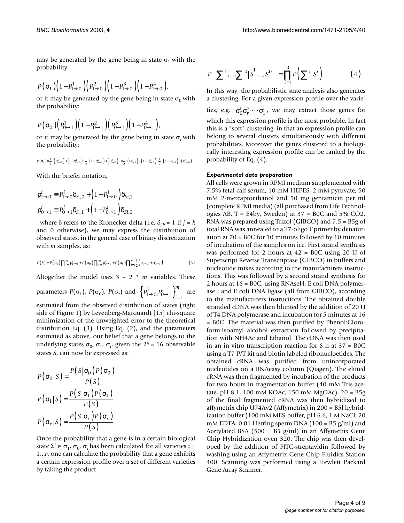may be generated by the gene being in state  $\sigma_1$  with the probability:

$$
P\left(\sigma_1\right)\left(1-P_{1\rightarrow 0}^1\right)\left(P_{1\rightarrow 0}^2\right)\left(1-P_{1\rightarrow 0}^3\right)\left(1-P_{1\rightarrow 0}^4\right),\,
$$

or it may be generated by the gene being in state  $\sigma_0$  with the probability:

$$
P\left(\,\mathbf{\sigma}_{0}\,\right)\left(\,P_{0\rightarrow1}^{1}\,\right)\left(\,1-P_{0\rightarrow1}^{2}\,\right)\left(\,P_{0\rightarrow1}^{3}\,\right)\left(\,1-P_{0\rightarrow1}^{4}\,\right),
$$

or it may be generated by the gene being in state  $\sigma_r$  with the probability:

$$
P\left(\sigma_r\right)\times\frac{1}{2}\Big[\Big(P^1_{0\rightarrow1}\Big)+\Big(1-P^1_{1\rightarrow0}\Big)\Big]\frac{1}{2}\Big[\Big(1-P^2_{0\rightarrow1}\Big)+\Big(P^2_{1\rightarrow0}\Big)\Big]\times\frac{1}{2}\Big[\Big(P^3_{0\rightarrow1}\Big)+\Big(1-P^4_{1\rightarrow0}\Big)\Big]\frac{1}{2}\Big[\Big(1-P^4_{0\rightarrow1}\Big)+\Big(P^4_{1\rightarrow0}\Big)\Big].
$$

With the briefer notation,

$$
\rho_{1\to 0}^i \equiv P_{1\to 0}^i \delta_{S_i,0} + \left(1 - P_{1\to 0}^i\right) \delta_{Si,1}
$$
  

$$
\rho_{0\to 1}^i \equiv P_{0\to 1}^i \delta_{S_i,1} + \left(1 - P_{0\to 1}^i\right) \delta_{Si,0}
$$

, where  $\delta$  refers to the Kronecker delta (i.e.  $\delta_{i,k} = 1$  if  $j = k$ and 0 otherwise), we may express the distribution of observed states, in the general case of binary discretization with *m* samples, as:

$$
P(S) = P(\sigma_1) \prod_{i=1}^{m} p_{1 \to 0}^i + P(\sigma_0) \prod_{i=1}^{m} p_{0 \to 1}^i + P(\sigma_r) \prod_{i=1}^{m} \frac{1}{2} (p_{1 \to 0}^i + p_{0 \to 1}^i).
$$
 (3)

Altogether the model uses 3 + 2 \* *m* variables. These

*m*

parameters  $P(\sigma_1)$ ,  $P(\sigma_0)$ ,  $P(\sigma_r)$  and  $\left\{P^i_{1\to 0}P^i_{0\to 1}\right\}_{i=1}^m$  are estimated from the observed distribution of states (right side of Figure [1\)](#page-2-0) by Levenberg-Marquardt [15] chi-square minimization of the unweighted error to the theoretical distribution Eq. (3). Using Eq. (2), and the parameters estimated as above, our belief that a gene belongs to the underlying states  $\sigma_0$ ,  $\sigma_1$ ,  $\sigma_{r}$ , given the 2<sup>4</sup> = 16 observable states *S*, can now be expressed as:  $\left\{P_{1\to 0}^n, P_{0\to 1}^n\right\}_{i=1}$ 

$$
P(\sigma_0|S) = \frac{P(S|\sigma_0)P(\sigma_0)}{P(S)}
$$

$$
P(\sigma_1|S) = \frac{P(S|\sigma_1)P(\sigma_1)}{P(S)}
$$

$$
P(\sigma_r|S) = \frac{P(S|\sigma_r)P(\sigma_r)}{P(S)}
$$

Once the probability that a gene is in a certain biological state  $\Sigma^i \in \sigma_1$ ,  $\sigma_0$ ,  $\sigma_r$  has been calculated for all varieties *i* = 1...*v*, one can calculate the probability that a gene exhibits a certain expression profile over a set of different varieties by taking the product

$$
P\left(\sum_{i}^{1} \dots \sum_{j}^{1} |S^{i}|, \dots, S^{i}\right) = \prod_{i=1}^{i} P\left(\sum_{j}^{i} |S^{i}|\right).
$$
 (4)

In this way, the probabilistic state analysis also generates a clustering: For a given expression profile over the varie-

ties, e.g.  $\sigma_0^1 \sigma_r^2 \cdots \sigma_1^i$ , we may extract those genes for which this expression profile is the most probable. In fact this is a "soft" clustering, in that an expression profile can belong to several clusters simultaneously with different probabilities. Moreover the genes clustered to a biologically interesting expression profile can be ranked by the probability of Eq. (4).

#### *Experimental data preparation*

All cells were grown in RPMI medium supplemented with 7.5% fetal calf serum, 10 mM HEPES, 2 mM pyruvate, 50 mM 2-mercaptoethanol and 50 mg gentamicin per ml (complete RPMI media) (all purchased from Life Technologies AB,  $T = E4by$ , Sweden) at  $37 = B0C$  and  $5\%$  CO2. RNA was prepared using Trizol (GIBCO) and 7.5 = B5g of total RNA was annealed to a T7-oligo T primer by denaturation at 70 = B0C for 10 minutes followed by 10 minutes of incubation of the samples on ice. First strand synthesis was performed for 2 hours at 42 = B0C using 20 U of Superscript Reverse Transcriptase (GIBCO) in buffers and nucleotide mixes according to the manufacturers instructions. This was followed by a second strand synthesis for 2 hours at 16 = B0C, using RNAseH, E coli DNA polymerase I and E coli DNA ligase (all from GIBCO), according to the manufacturers instructions. The obtained double stranded cDNA was then blunted by the addition of 20 U of T4 DNA polymerase and incubation for 5 minutes at 16 = B0C. The material was then purified by Phenol:Cloroform:Isoamyl alcohol extraction followed by precipitation with NH4Ac and Ethanol. The cDNA was then used in an in vitro transcription reaction for 6 h at 37 = B0C using a T7 IVT kit and biotin labeled ribonucloetides. The obtained cRNA was purified from unincorporated nucleotides on a RNAeasy column (Qiagen). The eluted cRNA was then fragmented by incubation of the products for two hours in fragmentation buffer (40 mM Tris-acetate, pH 8.1, 100 mM KOAc, 150 mM MgOAc). 20 = B5g of the final fragmented cRNA was then hybridized to affymetrix chip U74Av2 (Affymetrix) in 200 = B5l hybridization buffer (100 mM MES-buffer, pH 6.6, 1 M NaCl, 20 mM EDTA, 0.01 Herring sperm DNA ( $100 = B5$  g/ml) and Acetylated BSA (500 = B5  $g/ml$ ) in an Affymetrix Gene Chip Hybridization oven 320. The chip was then developed by the addition of FITC-streptavidin followed by washing using an Affymetrix Gene Chip Fluidics Station 400. Scanning was performed using a Hewlett Packard Gene Array Scanner.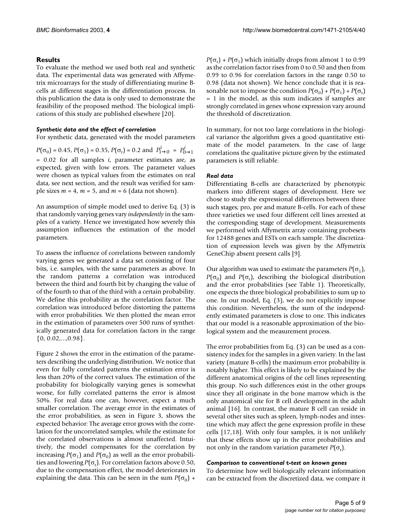## **Results**

To evaluate the method we used both real and synthetic data. The experimental data was generated with Affymetrix microarrays for the study of differentiating murine Bcells at different stages in the differentiation process. In this publication the data is only used to demonstrate the feasibility of the proposed method. The biological implications of this study are published elsewhere [20].

### *Synthetic data and the effect of correlation*

For synthetic data, generated with the model parameters

 $P(\sigma_0) = 0.45$ ,  $P(\sigma_1) = 0.35$ ,  $P(\sigma_r) = 0.2$  and  $P^i_{1 \to 0} = P^i_{0 \to 1}$ = 0.02 for all samples *i*, parameter estimates are, as expected, given with low errors. The parameter values were chosen as typical values from the estimates on real data, see next section, and the result was verified for sample sizes  $m = 4$ ,  $m = 5$ , and  $m = 6$  (data not shown).

An assumption of simple model used to derive Eq. (3) is that randomly varying genes vary *independently* in the samples of a variety. Hence we investigated how severely this assumption influences the estimation of the model parameters.

To assess the influence of correlations between randomly varying genes we generated a data set consisting of four bits, i.e. samples, with the same parameters as above. In the random patterns a correlation was introduced between the third and fourth bit by changing the value of of the fourth to that of the third with a certain probability. We define this probability as the correlation factor. The correlation was introduced before distorting the patterns with error probabilities. We then plotted the mean error in the estimation of parameters over 500 runs of synthetically generated data for correlation factors in the range  $\{0, 0.02, \ldots, 0.98\}.$ 

Figure [2](#page-5-0) shows the error in the estimation of the parameters describing the underlying distribution. We notice that even for fully correlated patterns the estimation error is less than 20% of the correct values. The estimation of the probability for biologically varying genes is somewhat worse, for fully correlated patterns the error is almost 50%. For real data one can, however, expect a much smaller correlation. The average error in the estimates of the error probabilities, as seen in Figure [3,](#page-6-0) shows the expected behavior: The average error grows with the correlation for the uncorrelated samples, while the estimate for the correlated observations is almost unaffected. Intuitively, the model compensates for the correlation by increasing  $P(\sigma_1)$  and  $P(\sigma_0)$  as well as the error probabilities and lowering  $P(\sigma_r)$ . For correlation factors above 0.50, due to the compensation effect, the model deteriorates in explaining the data. This can be seen in the sum  $P(\sigma_0)$  +

 $P(\sigma_r) + P(\sigma_1)$  which initially drops from almost 1 to 0.99 as the correlation factor rises from 0 to 0.50 and then from 0.99 to 0.96 for correlation factors in the range 0.50 to 0.98 (data not shown). We hence conclude that it is reasonable not to impose the condition  $P(\sigma_0) + P(\sigma_1) + P(\sigma_r)$ = 1 in the model, as this sum indicates if samples are strongly correlated in genes whose expression vary around the threshold of discretization.

In summary, for not too large correlations in the biological variance the algorithm gives a good quantitative estimate of the model parameters. In the case of large correlations the qualitative picture given by the estimated parameters is still reliable.

## *Real data*

Differentiating B-cells are characterized by phenotypic markers into different stages of development. Here we chose to study the expressional differences between three such stages; pro, pre and mature B-cells. For each of these three varieties we used four different cell lines arrested at the corresponding stage of development. Measurements we performed with Affymetrix array containing probesets for 12488 genes and ESTs on each sample. The discretization of expression levels was given by the Affymetrix GeneChip absent present calls [9].

Our algorithm was used to estimate the parameters  $P(\sigma_1)$ , *P*( $\sigma$ <sub>0</sub>) and *P*( $\sigma$ <sub>r</sub>), describing the biological distribution and the error probabilities (see Table [1\)](#page-6-1). Theoretically, one expects the three biological probabilities to sum up to one. In our model, Eq. (3), we do not explicitly impose this condition. Nevertheless, the sum of the independently estimated parameters is close to one. This indicates that our model is a reasonable approximation of the biological system and the measurement process.

The error probabilities from Eq. (3) can be used as a consistency index for the samples in a given variety. In the last variety (mature B-cells) the maximum error probability is notably higher. This effect is likely to be explained by the different anatomical origins of the cell lines representing this group. No such differences exist in the other groups since they all originate in the bone marrow which is the only anatomical site for B cell development in the adult animal [16]. In contrast, the mature B cell can reside in several other sites such as spleen, lymph-nodes and intestine which may affect the gene expression profile in these cells [17,18]. With only four samples, it is not unlikely that these effects show up in the error probabilities and not only in the random variation parameter  $P(\sigma_r)$ .

#### *Comparison to conventional* **t***-test on known genes*

To determine how well biologically relevant information can be extracted from the discretized data, we compare it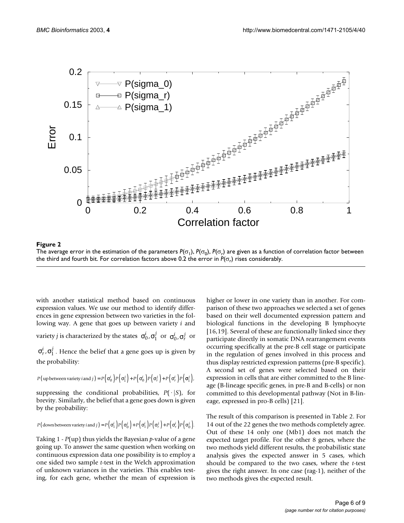<span id="page-5-0"></span>

**The average error in the estimation of the parameters**  $P$ **(σ1),** *P***(σ<sup>1</sup>),** *P***(σ<sup>1</sup>),** *P***(σ<sup>1</sup>),** *P***(σ<sup>1</sup>),** *P***(σ<sup>1</sup>),** *P***(σ<sup>1</sup>),** *P***(σ<sup>1</sup>),** *P***(σ<sup>1</sup>),** *P***(σ<sup>1</sup>),** *P***(σ<sup>1</sup>),** *P***(σ<sup>1</sup>),** *P***(σ<sup>1</sup>),** *P***(σ<sup>1</sup>),** *P***(σ<sup>1</sup>),** *P* The average error in the estimation of the parameters  $P(\sigma_1)$ ,  $P(\sigma_0)$ ,  $P(\sigma_r)$  are given as a function of correlation factor between the third and fourth bit. For correlation factors above 0.2 the error in  $P(\sigma_r)$  rises considerably.

with another statistical method based on continuous expression values. We use our method to identify differences in gene expression between two varieties in the following way. A gene that goes up between variety *i* and variety *j* is characterized by the states  $\sigma_0^i$ ,  $\sigma_1^j$  or  $\sigma_0^i$ ,  $\sigma_r^j$  or

 $\sigma_r^i$ ,  $\sigma_1^j$  . Hence the belief that a gene goes up is given by the probability:

$$
P\big(\text{ up between variety } i\text{ and } j\big) = P\Big(\sigma_0^i\Big)P\Big(\sigma_1^j\Big) + P\Big(\sigma_0^i\Big)P\Big(\sigma_r^j\Big) + P\Big(\sigma_r^i\Big)P\Big(\sigma_r^i\Big)P\Big(\sigma_1^j\Big),
$$

suppressing the conditional probabilities,  $P(\cdot|S)$ , for brevity. Similarly, the belief that a gene goes down is given by the probability:

$$
P(\text{down between variety } i \text{ and } j) = P\left(\sigma_1^i\right)P\left(\sigma_0^j\right) + P\left(\sigma_1^i\right)P\left(\sigma_r^j\right) + P\left(\sigma_r^i\right)P\left(\sigma_r^j\right).
$$

Taking 1 - *P*(up) thus yields the Bayesian *p*-value of a gene going up. To answer the same question when working on continuous expression data one possibility is to employ a one sided two sample *t*-test in the Welch approximation of unknown variances in the varieties. This enables testing, for each gene, whether the mean of expression is higher or lower in one variety than in another. For comparison of these two approaches we selected a set of genes based on their well documented expression pattern and biological functions in the developing B lymphocyte [16,19]. Several of these are functionally linked since they participate directly in somatic DNA rearrangement events occurring specifically at the pre-B cell stage or participate in the regulation of genes involved in this process and thus display restricted expression patterns (pre-B specific). A second set of genes were selected based on their expression in cells that are either committed to the B lineage (B-lineage specific genes, in pre-B and B-cells) or non committed to this developmental pathway (Not in B-lineage, expressed in pro-B cells) [21].

The result of this comparison is presented in Table [2.](#page-7-0) For 14 out of the 22 genes the two methods completely agree. Out of these 14 only one (Mb1) does not match the expected target profile. For the other 8 genes, where the two methods yield different results, the probabilistic state analysis gives the expected answer in 5 cases, which should be compared to the two cases, where the *t*-test gives the right answer. In one case (rag-1), neither of the two methods gives the expected result.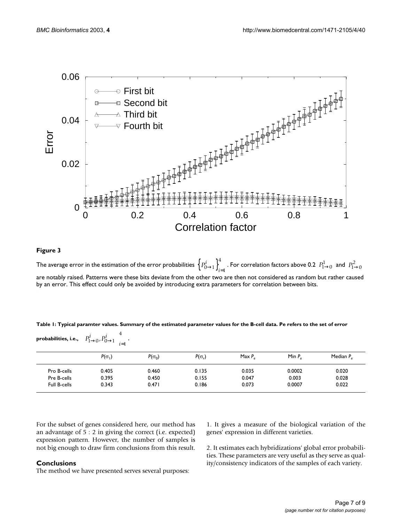<span id="page-6-0"></span>

#### Figure 3

The average error in the estimation of the error probabilities  $\left\{P^i_{0\to 1}\right\}_{i=1}^4$  . For correlation factors above 0.2  $\left.P^1_{1\to 0}\right.$  and are notably raised. Patterns were these bits deviate from the other two are then not considered as random but rather caused by an error. This effect could only be avoided by introducing extra parameters for correlation between bits.  $\left\{P^i_{0\rightarrow1}\right\}_{i=1}^4$  . For correlation factors above 0.2  $\left.P^1_{1\rightarrow0}\right.$  and  $\left.P^2_{1\rightarrow0}\right.$ 

<span id="page-6-1"></span>**Table 1: Typical paramter values. Summary of the estimated parameter values for the B-cell data. Pe refers to the set of error** 

| $\rho$ robabilities, i.e., $\left[\right. P^i_{1\rightarrow 0}, P^i_{0\rightarrow 1}\left.\right]_{i=1}^{\tau}$ . |               |               |               |           |           |              |  |  |  |  |  |
|-------------------------------------------------------------------------------------------------------------------|---------------|---------------|---------------|-----------|-----------|--------------|--|--|--|--|--|
|                                                                                                                   | $P(\sigma_1)$ | $P(\sigma_0)$ | $P(\sigma_r)$ | Max $P_a$ | Min $P_a$ | Median $P_a$ |  |  |  |  |  |
| Pro B-cells                                                                                                       | 0.405         | 0.460         | 0.135         | 0.035     | 0.0002    | 0.020        |  |  |  |  |  |
| Pre B-cells                                                                                                       | 0.395         | 0.450         | 0.155         | 0.047     | 0.003     | 0.028        |  |  |  |  |  |
| Full B-cells                                                                                                      | 0.343         | 0.471         | 0.186         | 0.073     | 0.0007    | 0.022        |  |  |  |  |  |

For the subset of genes considered here, our method has an advantage of 5 : 2 in giving the correct (i.e. expected) expression pattern. However, the number of samples is not big enough to draw firm conclusions from this result.

## **Conclusions**

The method we have presented serves several purposes:

1. It gives a measure of the biological variation of the genes' expression in different varieties.

2. It estimates each hybridizations' global error probabilities. These parameters are very useful as they serve as quality/consistency indicators of the samples of each variety.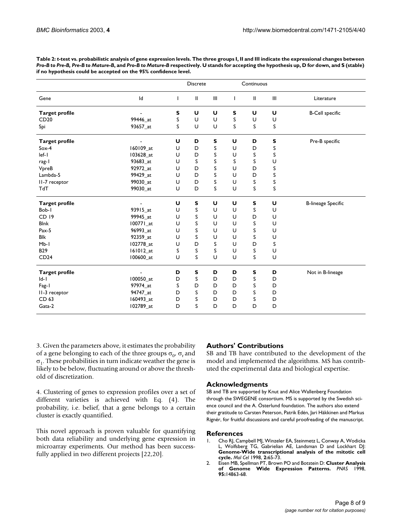|                       |           | <b>Discrete</b> |               | Continuous                  |              |              |                                    |                           |
|-----------------------|-----------|-----------------|---------------|-----------------------------|--------------|--------------|------------------------------------|---------------------------|
| Gene                  | Id        | L               | $\mathbf{II}$ | $\mathop{\rm III}\nolimits$ | $\mathsf{L}$ | $\mathbf{I}$ | $\ensuremath{\mathsf{III}}\xspace$ | Literature                |
| <b>Target profile</b> |           | S               | U             | U                           | S            | U            | U                                  | <b>B-Cell specific</b>    |
| CD20                  | 99446_at  | S               | U             | U                           | S            | U            | U                                  |                           |
| Spi                   | 93657 at  | S               | U             | U                           | S            | S            | S                                  |                           |
| <b>Target profile</b> |           | U               | D             | S                           | U            | D            | S                                  | Pre-B specific            |
| $Sox-4$               | 160109 at | U               | D             | S                           | U            | D            | S                                  |                           |
| $left-1$              | 103628 at | U               | D             | S                           | U            | S            | S                                  |                           |
| rag-1                 | 93683_at  | U               | S             | S                           | S            | S            | U                                  |                           |
| VpreB                 | 92972_at  | U               | D             | S                           | U            | D            | S                                  |                           |
| Lambda-5              | 99429_at  | U               | D             | S                           | U            | D            | S                                  |                           |
| II-7 receptor         | 99030_at  | U               | D             | S                           | U            | S            | S                                  |                           |
| TdT                   | 99030_at  | U               | D             | S                           | U            | S            | S                                  |                           |
| <b>Target profile</b> |           | U               | S             | U                           | U            | S            | U                                  | <b>B-lineage Specific</b> |
| Bob-I                 | 93915 at  | U               | S             | U                           | U            | S            | U                                  |                           |
| CD 19                 | 99945_at  | U               | S             | U                           | U            | D            | U                                  |                           |
| <b>Blnk</b>           | 100771 at | U               | S             | U                           | U            | S            | U                                  |                           |
| Pax-5                 | 96993_at  | U               | S             | U                           | U            | S            | U                                  |                           |
| <b>Blk</b>            | 92359_at  | U               | S             | U                           | U            | S            | U                                  |                           |
| $Mb-1$                | 102778_at | U               | D             | S                           | U            | D            | S                                  |                           |
| <b>B29</b>            | 161012_at | S               | S             | S                           | U            | S            | U                                  |                           |
| CD24                  | 100600_at | U               | S             | U                           | U            | S            | U                                  |                           |
| <b>Target profile</b> |           | D               | S             | D                           | D            | S            | D                                  | Not in B-lineage          |
| $ d-1 $               | 100050 at | D               | S             | D                           | D            | S            | D                                  |                           |
| Fag-1                 | 97974 at  | S               | D             | D                           | D            | S            | D                                  |                           |
| II-3 receptor         | 94747_at  | D               | S             | D                           | D            | S            | D                                  |                           |
| CD 63                 | 160493_at | D               | S             | D                           | D            | S            | D                                  |                           |
| Gata-2                | 102789_at | D               | S             | D                           | D            | D            | D                                  |                           |
|                       |           |                 |               |                             |              |              |                                    |                           |

<span id="page-7-0"></span>**Table 2:** *t***-test vs. probabilistic analysis of gene expression levels. The three groups I, II and III indicate the expressional changes between**  *Pro-B to Pre-B, Pre-B to Mature-B***, and** *Pro-B to Mature-B* **respectively. U stands for accepting the hypothesis up, D for down, and S (stable) if no hypothesis could be accepted on the 95% confidence level.**

3. Given the parameters above, it estimates the probability of a gene belonging to each of the three groups  $\sigma_{0}$ ,  $\sigma_{r}$  and  $\sigma_1$ . These probabilities in turn indicate weather the gene is likely to be below, fluctuating around or above the threshold of discretization.

4. Clustering of genes to expression profiles over a set of different varieties is achieved with Eq. (4). The probability, i.e. belief, that a gene belongs to a certain cluster is exactly quantified.

This novel approach is proven valuable for quantifying both data reliability and underlying gene expression in microarray experiments. Our method has been successfully applied in two different projects [22,20].

## **Authors' Contributions**

SB and TB have contributed to the development of the model and implemented the algorithms. MS has contributed the experimental data and biological expertise.

#### **Acknowledgments**

SB and TB are supported by Knut and Alice Wallenberg Foundation through the SWEGENE consortium. MS is supported by the Swedish science council and the A. Österlund foundation. The authors also extend their gratitude to Carsten Peterson, Patrik Edén, Jari Häkkinen and Markus Rignér, for fruitful discussions and careful proofreading of the manuscript.

#### **References**

- 1. Cho RJ, Campbell MJ, Winzeler EA, Steinmetz L, Conway A, Wodicka L, Wolfsberg TG, Gabrielian AE, Landsman D and Lockhart DJ: **Genome-Wide transcriptional analysis of the mitotic cell cycle.** *Mol Cel* 1998, **2:**65-73.
- 2. Eisen MB, Spellman PT, Brown PO and Botstein D: **[Cluster Analysis](http://www.ncbi.nlm.nih.gov/entrez/query.fcgi?cmd=Retrieve&db=PubMed&dopt=Abstract&list_uids=24541) [of Genome Wide Expression Patterns](http://www.ncbi.nlm.nih.gov/entrez/query.fcgi?cmd=Retrieve&db=PubMed&dopt=Abstract&list_uids=24541)[.](http://www.ncbi.nlm.nih.gov/entrez/query.fcgi?cmd=Retrieve&db=PubMed&dopt=Abstract&list_uids=10.1073/pnas.95.25.14863)** *PNAS* 1998, **95:**14863-68.